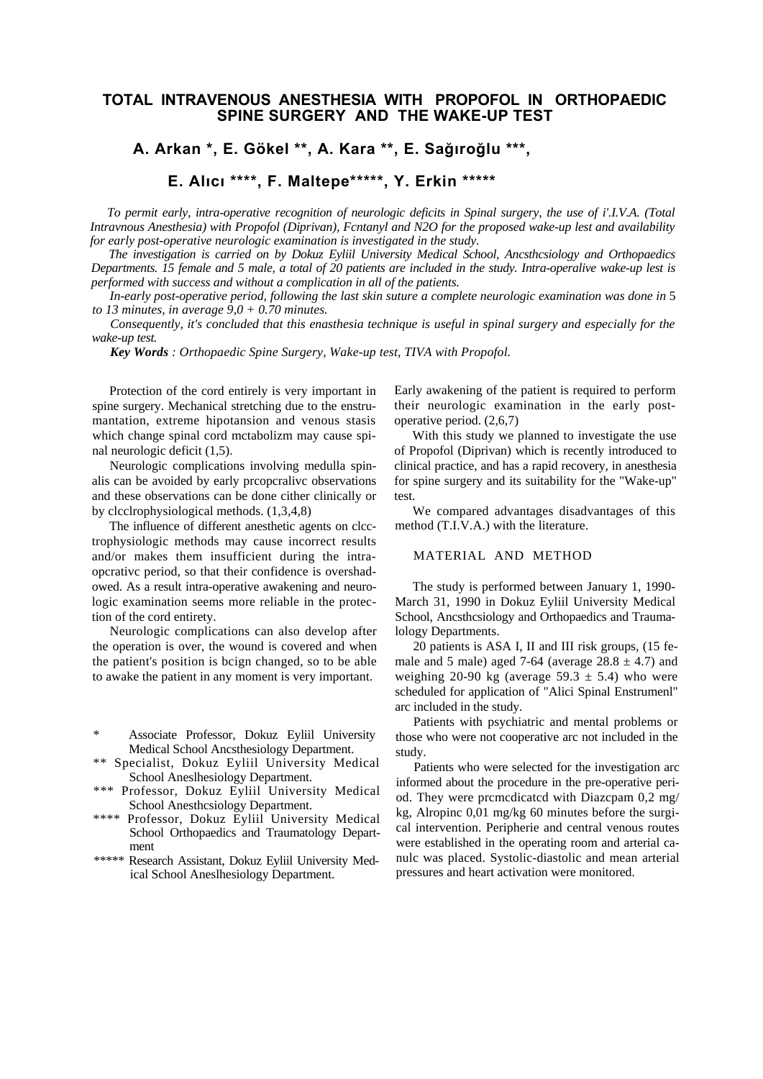# **TOTAL INTRAVENOUS ANESTHESIA WITH PROPOFOL IN ORTHOPAEDIC SPINE SURGERY AND THE WAKE-UP TEST**

# **A. Arkan \*, E. Gökel \*\*, A. Kara \*\*, E. Sağıroğlu \*\*\*,**

**E. Alıcı \*\*\*\*, F. Maltepe\*\*\*\*\*, Y. Erkin \*\*\*\*\***

*To permit early, intra-operative recognition of neurologic deficits in Spinal surgery, the use of i'.I.V.A. (Total Intravnous Anesthesia) with Propofol (Diprivan), Fcntanyl and N2O for the proposed wake-up lest and availability for early post-operative neurologic examination is investigated in the study.*

*The investigation is carried on by Dokuz Eyliil University Medical School, Ancsthcsiology and Orthopaedics Departments. 15 female and 5 male, a total of 20 patients are included in the study. Intra-operalive wake-up lest is performed with success and without a complication in all of the patients.*

*In-early post-operative period, following the last skin suture a complete neurologic examination was done in* 5 *to 13 minutes, in average 9,0 + 0.70 minutes.*

*Consequently, it's concluded that this enasthesia technique is useful in spinal surgery and especially for the wake-up test.*

*Key Words : Orthopaedic Spine Surgery, Wake-up test, TIVA with Propofol.*

Protection of the cord entirely is very important in spine surgery. Mechanical stretching due to the enstrumantation, extreme hipotansion and venous stasis which change spinal cord mctabolizm may cause spinal neurologic deficit (1,5).

Neurologic complications involving medulla spinalis can be avoided by early prcopcralivc observations and these observations can be done cither clinically or by clcclrophysiological methods. (1,3,4,8)

The influence of different anesthetic agents on clcctrophysiologic methods may cause incorrect results and/or makes them insufficient during the intraopcrativc period, so that their confidence is overshadowed. As a result intra-operative awakening and neurologic examination seems more reliable in the protection of the cord entirety.

Neurologic complications can also develop after the operation is over, the wound is covered and when the patient's position is bcign changed, so to be able to awake the patient in any moment is very important.

- \*\* Specialist, Dokuz Eyliil University Medical School Aneslhesiology Department.
- \*\*\* Professor, Dokuz Eyliil University Medical School Anesthcsiology Department.
- \*\*\*\* Professor, Dokuz Eyliil University Medical School Orthopaedics and Traumatology Department
- \*\*\*\*\* Research Assistant, Dokuz Eyliil University Medical School Aneslhesiology Department.

Early awakening of the patient is required to perform their neurologic examination in the early postoperative period. (2,6,7)

With this study we planned to investigate the use of Propofol (Diprivan) which is recently introduced to clinical practice, and has a rapid recovery, in anesthesia for spine surgery and its suitability for the "Wake-up" test.

We compared advantages disadvantages of this method (T.I.V.A.) with the literature.

### MATERIAL AND METHOD

The study is performed between January 1, 1990- March 31, 1990 in Dokuz Eyliil University Medical School, Ancsthcsiology and Orthopaedics and Traumalology Departments.

20 patients is ASA I, II and III risk groups, (15 female and 5 male) aged 7-64 (average  $28.8 \pm 4.7$ ) and weighing 20-90 kg (average  $59.3 \pm 5.4$ ) who were scheduled for application of "Alici Spinal Enstrumenl" arc included in the study.

Patients with psychiatric and mental problems or those who were not cooperative arc not included in the study.

Patients who were selected for the investigation arc informed about the procedure in the pre-operative period. They were prcmcdicatcd with Diazcpam 0,2 mg/ kg, Alropinc 0,01 mg/kg 60 minutes before the surgical intervention. Peripherie and central venous routes were established in the operating room and arterial canulc was placed. Systolic-diastolic and mean arterial pressures and heart activation were monitored.

<sup>\*</sup> Associate Professor, Dokuz Eyliil University Medical School Ancsthesiology Department.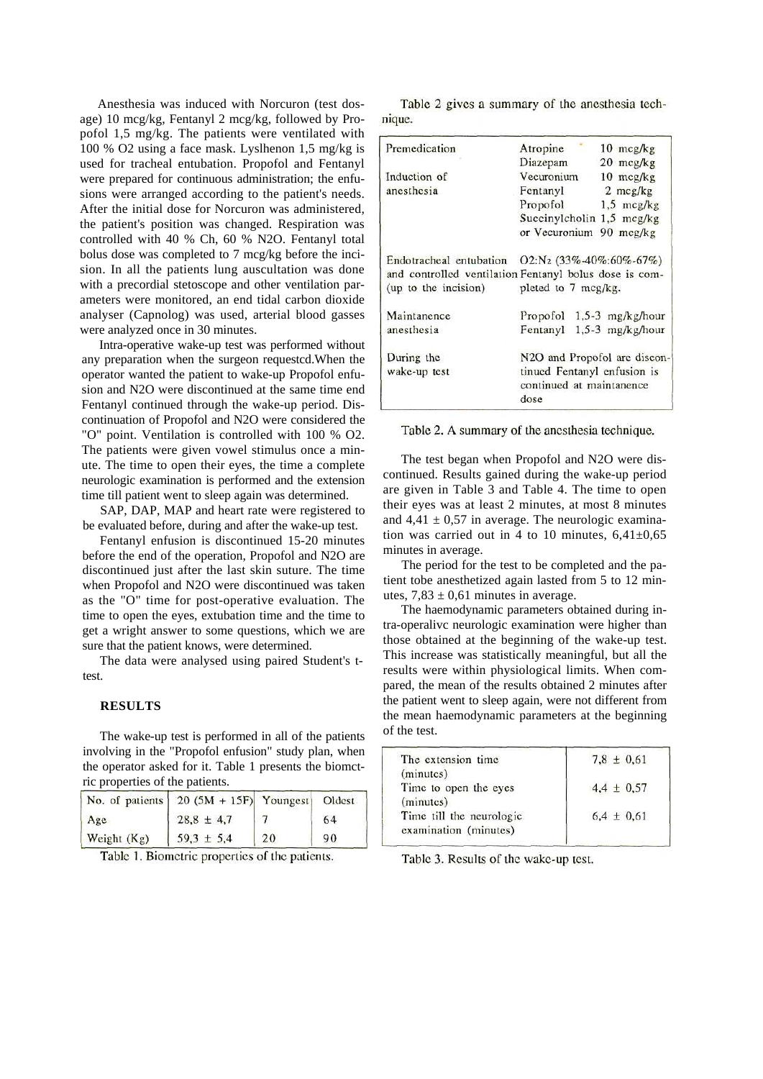Anesthesia was induced with Norcuron (test dosage) 10 mcg/kg, Fentanyl 2 mcg/kg, followed by Propofol 1,5 mg/kg. The patients were ventilated with 100 % O2 using a face mask. Lyslhenon 1,5 mg/kg is used for tracheal entubation. Propofol and Fentanyl were prepared for continuous administration; the enfusions were arranged according to the patient's needs. After the initial dose for Norcuron was administered, the patient's position was changed. Respiration was controlled with 40 % Ch, 60 % N2O. Fentanyl total bolus dose was completed to 7 mcg/kg before the incision. In all the patients lung auscultation was done with a precordial stetoscope and other ventilation parameters were monitored, an end tidal carbon dioxide analyser (Capnolog) was used, arterial blood gasses were analyzed once in 30 minutes.

Intra-operative wake-up test was performed without any preparation when the surgeon requestcd.When the operator wanted the patient to wake-up Propofol enfusion and N2O were discontinued at the same time end Fentanyl continued through the wake-up period. Discontinuation of Propofol and N2O were considered the "O" point. Ventilation is controlled with 100 % O2. The patients were given vowel stimulus once a minute. The time to open their eyes, the time a complete neurologic examination is performed and the extension time till patient went to sleep again was determined.

SAP, DAP, MAP and heart rate were registered to be evaluated before, during and after the wake-up test.

Fentanyl enfusion is discontinued 15-20 minutes before the end of the operation, Propofol and N2O are discontinued just after the last skin suture. The time when Propofol and N2O were discontinued was taken as the "O" time for post-operative evaluation. The time to open the eyes, extubation time and the time to get a wright answer to some questions, which we are sure that the patient knows, were determined.

The data were analysed using paired Student's ttest.

### **RESULTS**

The wake-up test is performed in all of the patients involving in the "Propofol enfusion" study plan, when the operator asked for it. Table 1 presents the biomctric properties of the patients.

|             | No. of patients $\begin{bmatrix} 20 & (5M + 15F) & Youngest \end{bmatrix}$ |    | Oldest |
|-------------|----------------------------------------------------------------------------|----|--------|
| Age         | $28,8 \pm 4,7$                                                             |    | 64     |
| Weight (Kg) | $59,3 \pm 5,4$                                                             | 20 | 90     |

Table 1. Biometric properties of the patients.

Table 2 gives a summary of the anesthesia technique.

| Premedication                                          | Atropine                                                        | $10 \text{ mcg/kg}$ |  |
|--------------------------------------------------------|-----------------------------------------------------------------|---------------------|--|
|                                                        | Diazepam 20 mcg/kg                                              |                     |  |
| Induction of                                           | Vecuronium 10 mcg/kg                                            |                     |  |
| anesthesia                                             | Fentanyl 2 mcg/kg                                               |                     |  |
|                                                        | Propofol $1,5$ mcg/kg                                           |                     |  |
|                                                        | Succinylcholin $1,5$ mcg/kg                                     |                     |  |
|                                                        | or Vecuronium 90 mcg/kg                                         |                     |  |
| Endotracheal entubation                                | $O2:N_2$ (33%-40%:60%-67%)                                      |                     |  |
| and controlled ventilation Fentanyl bolus dose is com- |                                                                 |                     |  |
| (up to the incision)                                   | pleted to 7 mcg/kg.                                             |                     |  |
| Maintanence                                            | Propofol $1,5-3$ mg/kg/hour                                     |                     |  |
| anesthesia                                             | Fentanyl 1,5-3 mg/kg/hour                                       |                     |  |
| During the                                             | N2O and Propofol are discon-                                    |                     |  |
| wake-up test                                           | tinued Fentanyl enfusion is<br>continued at maintanence<br>dose |                     |  |

Table 2. A summary of the anesthesia technique.

The test began when Propofol and N2O were discontinued. Results gained during the wake-up period are given in Table 3 and Table 4. The time to open their eyes was at least 2 minutes, at most 8 minutes and  $4,41 \pm 0,57$  in average. The neurologic examination was carried out in 4 to 10 minutes,  $6,41\pm0,65$ minutes in average.

The period for the test to be completed and the patient tobe anesthetized again lasted from 5 to 12 minutes,  $7,83 \pm 0,61$  minutes in average.

The haemodynamic parameters obtained during intra-operalivc neurologic examination were higher than those obtained at the beginning of the wake-up test. This increase was statistically meaningful, but all the results were within physiological limits. When compared, the mean of the results obtained 2 minutes after the patient went to sleep again, were not different from the mean haemodynamic parameters at the beginning of the test.

| $7,8 \pm 0,61$ |  |
|----------------|--|
|                |  |
| $4,4 \pm 0,57$ |  |
|                |  |
| $6.4 \pm 0.61$ |  |
|                |  |
|                |  |

Table 3. Results of the wake-up test.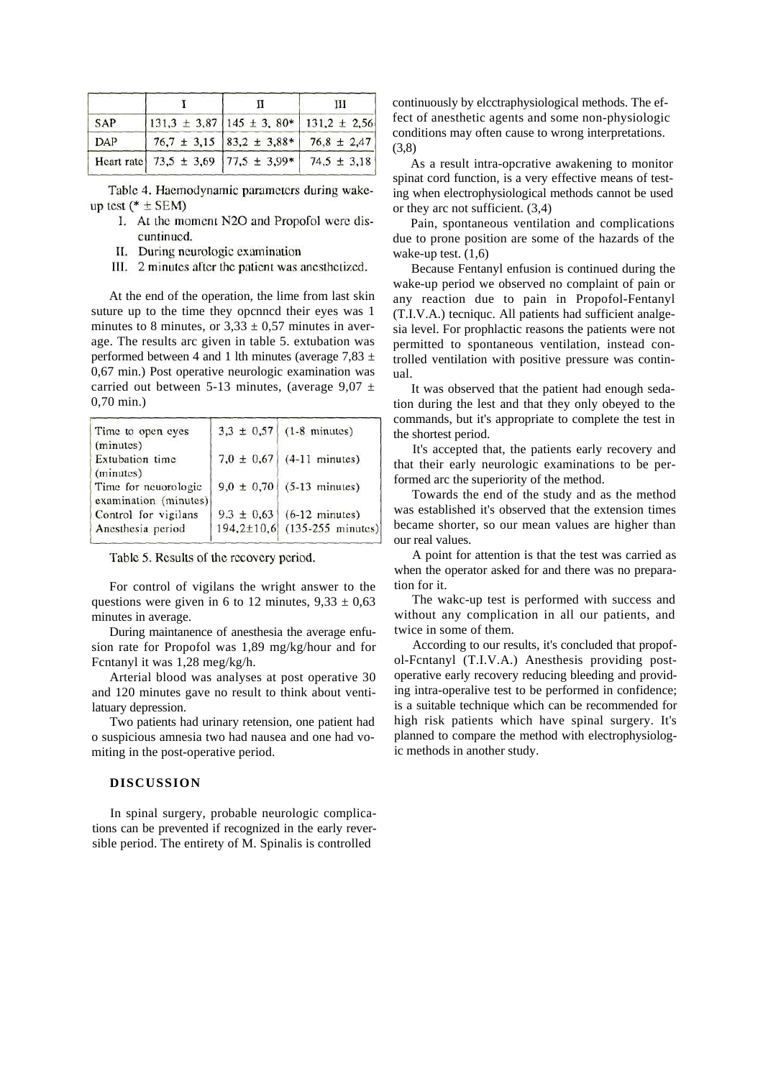|     |                                                          | Ш |
|-----|----------------------------------------------------------|---|
| SAP | $131,3 \pm 3,87$ 145 ± 3, 80* 131,2 ± 2,56               |   |
| DAP | $76,7 \pm 3,15$ 83,2 ± 3,88* 76,8 ± 2,47                 |   |
|     | Heart rate $73,5 \pm 3,69$ $ 77,5 \pm 3,99*$ 74,5 ± 3,18 |   |

Table 4. Haemodynamic parameters during wakeup test ( $*$  ± SEM)

- I. At the moment N2O and Propofol were discuntinued.
- II. During neurologic examination
- III. 2 minutes after the patient was anesthetized.

At the end of the operation, the lime from last skin suture up to the time they opcnncd their eyes was 1 minutes to 8 minutes, or  $3,33 \pm 0,57$  minutes in average. The results arc given in table 5. extubation was performed between 4 and 1 lth minutes (average  $7.83 \pm$ 0,67 min.) Post operative neurologic examination was carried out between 5-13 minutes, (average  $9.07 \pm$ 0,70 min.)

| Time to open eyes                                          | $3,3 \pm 0,57$ (1-8 minutes)                                  |
|------------------------------------------------------------|---------------------------------------------------------------|
| (minutes)<br>Extubation time                               | $7,0 \pm 0,67$ (4-11 minutes)                                 |
| (minutes)<br>Time for neuorologic<br>examination (minutes) | $9,0 \pm 0,70$ (5-13 minutes)                                 |
| Control for vigilans<br>Anesthesia period                  | $9.3 \pm 0.63$ (6-12 minutes)<br>194,2±10,6 (135-255 minutes) |

Table 5. Results of the recovery period.

For control of vigilans the wright answer to the questions were given in 6 to 12 minutes,  $9,33 \pm 0,63$ minutes in average.

During maintanence of anesthesia the average enfusion rate for Propofol was 1,89 mg/kg/hour and for Fcntanyl it was 1,28 meg/kg/h.

Arterial blood was analyses at post operative 30 and 120 minutes gave no result to think about ventilatuary depression.

Two patients had urinary retension, one patient had o suspicious amnesia two had nausea and one had vomiting in the post-operative period.

#### **DISCUSSION**

In spinal surgery, probable neurologic complications can be prevented if recognized in the early reversible period. The entirety of M. Spinalis is controlled

continuously by elcctraphysiological methods. The effect of anesthetic agents and some non-physiologic conditions may often cause to wrong interpretations. (3,8)

As a result intra-opcrative awakening to monitor spinat cord function, is a very effective means of testing when electrophysiological methods cannot be used or they arc not sufficient. (3,4)

Pain, spontaneous ventilation and complications due to prone position are some of the hazards of the wake-up test.  $(1,6)$ 

Because Fentanyl enfusion is continued during the wake-up period we observed no complaint of pain or any reaction due to pain in Propofol-Fentanyl (T.I.V.A.) tecniquc. All patients had sufficient analgesia level. For prophlactic reasons the patients were not permitted to spontaneous ventilation, instead controlled ventilation with positive pressure was continual.

It was observed that the patient had enough sedation during the lest and that they only obeyed to the commands, but it's appropriate to complete the test in the shortest period.

It's accepted that, the patients early recovery and that their early neurologic examinations to be performed arc the superiority of the method.

Towards the end of the study and as the method was established it's observed that the extension times became shorter, so our mean values are higher than our real values.

A point for attention is that the test was carried as when the operator asked for and there was no preparation for it.

The wakc-up test is performed with success and without any complication in all our patients, and twice in some of them.

According to our results, it's concluded that propofol-Fcntanyl (T.I.V.A.) Anesthesis providing postoperative early recovery reducing bleeding and providing intra-operalive test to be performed in confidence; is a suitable technique which can be recommended for high risk patients which have spinal surgery. It's planned to compare the method with electrophysiologic methods in another study.